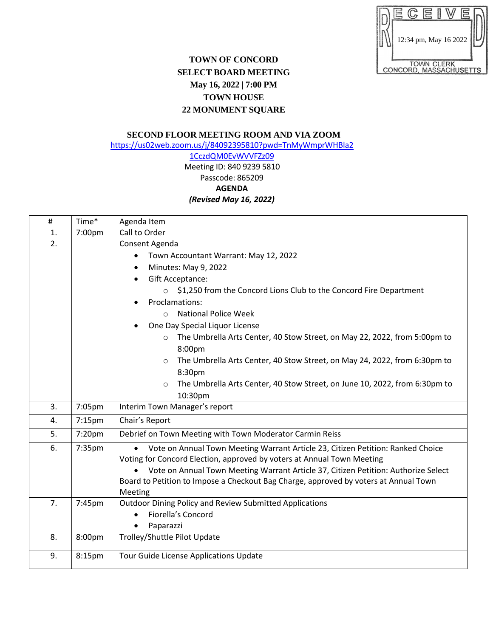|                                             | 12:34 pm, May 16 2022 |  |  |  |  |  |  |
|---------------------------------------------|-----------------------|--|--|--|--|--|--|
| <b>TOWN CLERK</b><br>CONCORD, MASSACHUSETTS |                       |  |  |  |  |  |  |

## **TOWN OF CONCORD SELECT BOARD MEETING May 16, 2022 | 7:00 PM TOWN HOUSE 22 MONUMENT SQUARE**

## **SECOND FLOOR MEETING ROOM AND VIA ZOOM**

[https://us02web.zoom.us/j/84092395810?pwd=TnMyWmprWHBla2](https://us02web.zoom.us/j/84092395810?pwd=TnMyWmprWHBla21CczdQM0EvWVVFZz09)

## [1CczdQM0EvWVVFZz09](https://us02web.zoom.us/j/84092395810?pwd=TnMyWmprWHBla21CczdQM0EvWVVFZz09) Meeting ID: 840 9239 5810 Passcode: 865209 **AGENDA** *(Revised May 16, 2022)*

| $\#$ | Time*     | Agenda Item                                                                                                                                                                                                                                                                                                                                                                                                                                                                                                                                                                                                  |  |  |
|------|-----------|--------------------------------------------------------------------------------------------------------------------------------------------------------------------------------------------------------------------------------------------------------------------------------------------------------------------------------------------------------------------------------------------------------------------------------------------------------------------------------------------------------------------------------------------------------------------------------------------------------------|--|--|
| 1.   | 7:00pm    | Call to Order                                                                                                                                                                                                                                                                                                                                                                                                                                                                                                                                                                                                |  |  |
| 2.   |           | Consent Agenda<br>Town Accountant Warrant: May 12, 2022<br>$\bullet$<br>Minutes: May 9, 2022<br>Gift Acceptance:<br>$\bullet$<br>\$1,250 from the Concord Lions Club to the Concord Fire Department<br>$\circ$<br>Proclamations:<br><b>National Police Week</b><br>$\bigcirc$<br>One Day Special Liquor License<br>The Umbrella Arts Center, 40 Stow Street, on May 22, 2022, from 5:00pm to<br>$\circ$<br>8:00pm<br>The Umbrella Arts Center, 40 Stow Street, on May 24, 2022, from 6:30pm to<br>$\circ$<br>8:30pm<br>The Umbrella Arts Center, 40 Stow Street, on June 10, 2022, from 6:30pm to<br>$\circ$ |  |  |
| 3.   | 7:05pm    | 10:30pm<br>Interim Town Manager's report                                                                                                                                                                                                                                                                                                                                                                                                                                                                                                                                                                     |  |  |
| 4.   | $7:15$ pm | Chair's Report                                                                                                                                                                                                                                                                                                                                                                                                                                                                                                                                                                                               |  |  |
| 5.   | 7:20pm    | Debrief on Town Meeting with Town Moderator Carmin Reiss                                                                                                                                                                                                                                                                                                                                                                                                                                                                                                                                                     |  |  |
| 6.   | 7:35pm    | Vote on Annual Town Meeting Warrant Article 23, Citizen Petition: Ranked Choice<br>Voting for Concord Election, approved by voters at Annual Town Meeting<br>Vote on Annual Town Meeting Warrant Article 37, Citizen Petition: Authorize Select<br>Board to Petition to Impose a Checkout Bag Charge, approved by voters at Annual Town<br>Meeting                                                                                                                                                                                                                                                           |  |  |
| 7.   | 7:45pm    | Outdoor Dining Policy and Review Submitted Applications<br>Fiorella's Concord<br>Paparazzi<br>$\bullet$                                                                                                                                                                                                                                                                                                                                                                                                                                                                                                      |  |  |
| 8.   | 8:00pm    | Trolley/Shuttle Pilot Update                                                                                                                                                                                                                                                                                                                                                                                                                                                                                                                                                                                 |  |  |
| 9.   | 8:15pm    | Tour Guide License Applications Update                                                                                                                                                                                                                                                                                                                                                                                                                                                                                                                                                                       |  |  |